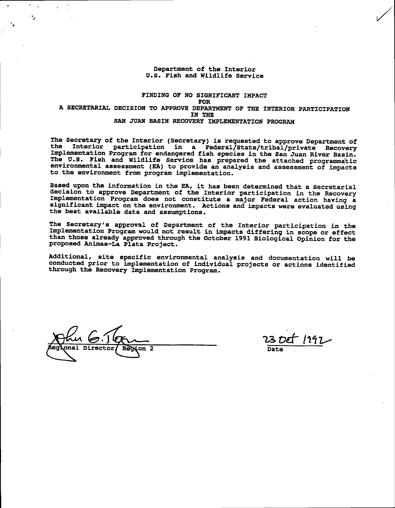# Department of the Interior U.S. Fish and Wildlife Service

# FINDING OF NO SIGNIFICANT IMPACT **FOR** A SECRETARIAL DECISION TO APPROVE DEPARTMENT OF THE INTERIOR PARTICIPATION IN THE SAN JUAN BASIN RECOVERY IMPLEMENTATION PROGRAM

The Secretary of the Interior (Secretary) is requested to approve Department of the Interior participation in a Federal/State/tribal/private Recovery Implementation Program for endangered fish species in the San Juan River Basin. The U.S. Fish and Wildlife Service has prepared the attached programmatic environmental assessment (EA) to provide an analysis and assessment of impacts to the environment from program implementation.

Based upon the information in the EA, it has been determined that a Secretarial decision to approve Department of the Interior participation in the Recovery Implementation Program does not constitute a major Federal action having a significant impact on the environment. Actions and impacts were evaluated using the best available data and assumptions.

The Secretary's approval of Department of the Interior participation in the Implementation Program would not result in impacts differing in scope or effect than those already approved through the October 1991 Biological Opinion for the proposed Animas-La Plata Project.

Additional, site specific environmental analysis and documentation will be conducted prior to implementation of individual projects or actions identified through the Recovery Implementation Program.

 $\sqrt{2}$ 

٠,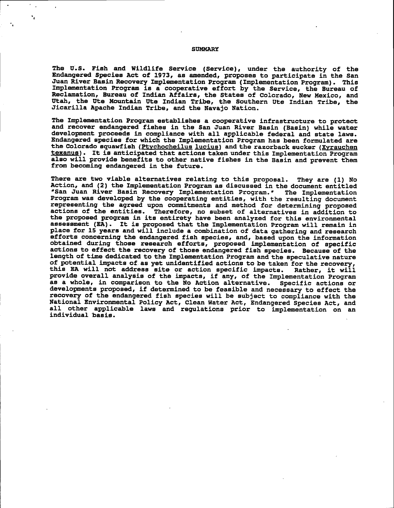### **SUMMARY**

٠,

The U.S. Fish and Wildlife Service (Service), under the authority of the Endangered Species Act of 1973, as amended, proposes to participate in the San Juan River Basin Recovery Implementation Program (Implementation Program). This Implementation Program is a cooperative effort by the Service, the Bureau of Reclamation, Bureau of Indian Affairs, the States of Colorado, New Mexico, and Utah, the Ute Mountain Ute Indian Tribe, the Southern Ute Indian Tribe, the Jicarilla Apache Indian Tribe, and the Navajo Nation.

The Implementation Program establishes a cooperative infrastructure to protect and recover endangered fishes in the San Juan River Basin (Basin) while water development proceeds in compliance with all applicable federal and state laws. Endangered species for which the Implementation Program has been formulated are the Colorado squawfish (Ptychocheilus lucius) and the razorback sucker (Xyrauchen texanus). It is anticipated that actions taken under this Implementation Program also will provide benefits to other native fishes in the Basin and prevent them from becoming endangered in the future.

There are two viable alternatives relating to this proposal. They are (1) No Action, and (2) the Implementation Program as discussed in the document entitled "San Juan River Basin Recovery Implementation Program." The Implementation Program was developed by the cooperating entities, with the resulting document representing the agreed upon commitments and method for determining proposed actions of the entities. Therefore, no subset of alternatives in addition to the proposed program in its entirety have been analyzed for this environmental assessment (EA). It is proposed that the Implementation Program will remain in place for 15 years and will include a combination of data gathering and research efforts concerning the endangered fish species, and, based upon the information<br>obtained during those research efforts, proposed implementation of specific<br>actions to effect the recovery of those endangered fish species. B length of time dedicated to the Implementation Program and the speculative nature of potential impacts of as yet unidentified actions to be taken for the recovery, this EA will not address site or action specific impacts. Rather, it will provide overall analysis of the impacts, if any, of the Implementation Program as a whole, in comparison to the No Action alternative. Specific actions or developments proposed, if determined to be feasible and necessary to effect the recovery of the endangered fish species will be subject to compliance with the National Environmental Policy Act, Clean Water Act, Endangered Species Act, and all other applicable laws and regulations prior to implementation on an individual basis.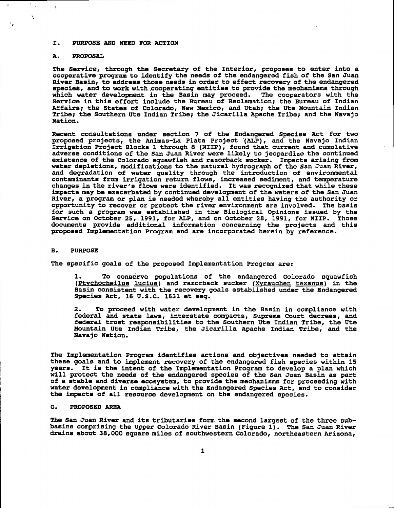### I. PURPOSE AND NEED FOR ACTION

### **PROPOSAL** A.

 $\frac{p}{\epsilon}$  .

 $\mathbf{v}_\mathrm{r}$ 

 $\mathbf{r}$ 

 $\lambda$ 

The Service, through the Secretary of the Interior, proposes to enter into a cooperative program to identify the needs of the endangered fish of the San Juan River Basin, to address those needs in order to effect recovery of the endangered species, and to work with cooperating entities to provide the mechanisms through which water development in the Basin may proceed. The cooperators with the Service in this effort include the Bureau of Reclamation; the Bureau of Indian Affairs; the States of Colorado, New Mexico, and Utah; the Ute Mountain Indian Tribe; the Southern Ute Indian Tribe; the Jicarilla Apache Tribe; and the Navajo Nation.

Recent consultations under section 7 of the Endangered Species Act for two proposed projects, the Animas-La Plata Project (ALP), and the Navajo Indian Irrigation Project Blocks 1 through 8 (NIIP), found that current and cumulative adverse conditions of the San Juan River were likely to jeopardize the continued existence of the Colorado squawfish and razorback sucker. Impacts arising from water depletions, modifications to the natural hydrograph of the San Juan River, and degradation of water quality through the introduction of environmental<br>contaminants from irrigation return flows, increased sediment, and temperature<br>changes in the river's flows were identified. It was recognized that impacts may be exacerbated by continued development of the waters of the San Juan River, a program or plan is needed whereby all entities having the authority or opportunity to recover or protect the river environment are involved. The basis for such a program was established in the Biological Opinions issued by the Service on October 25, 1991, for ALP, and on October 28, 1991, for NIIP. Those documents provide additional information concerning the projects and this proposed Implementation Program and are incorporated herein by reference.

#### $B<sub>-</sub>$ **PURPOSE**

The specific goals of the proposed Implementation Program are:

1. To conserve populations of the endangered Colorado squawfish (Ptychocheilus lucius) and razorback sucker (Xyrauchen texanus) in the Basin consistent with the recovery goals established under the Endangered Species Act, 16 U.S.C. 1531 et seq.

To proceed with water development in the Basin in compliance with  $2$ federal and state laws, interstate compacts, Supreme Court decrees, and federal trust responsibilities to the Southern Ute Indian Tribe, the Ute Mountain Ute Indian Tribe, the Jicarilla Apache Indian Tribe, and the Navajo Nation.

The Implementation Program identifies actions and objectives needed to attain these goals and to implement recovery of the endangered fish species within 15 years. It is the intent of the Implementation Program to develop a plan which will protect the needs of the endangered species of the San Juan Basin as part of a stable and diverse ecosystem, to provide the mechanisms for proceeding with water development in compliance with the Endangered Species Act, and to consider the impacts of all resource development on the endangered species.

### $\mathbf{c}$ . PROPOSED AREA

The San Juan River and its tributaries form the second largest of the three subbasins comprising the Upper Colorado River Basin (Figure 1). The San Juan River drains about 38,000 square miles of southwestern Colorado, northeastern Arizona,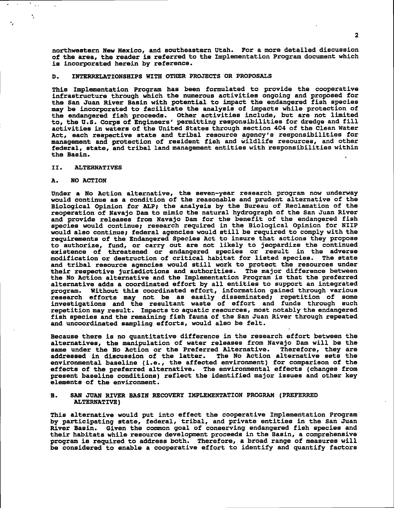northwestern New Mexico, and southeastern Utah. For a more detailed discussion of the area, the reader is referred to the Implementation Program document which is incorporated herein by reference.

### INTERRELATIONSHIPS WITH OTHER PROJECTS OR PROPOSALS D.

This Implementation Program has been formulated to provide the cooperative infrastructure through which the numerous activities ongoing and proposed for the San Juan River Basin with potential to impact the endangered fish species<br>may be incorporated to facilitate the analysis of impacts while protection of<br>the endangered fish proceeds. Other activities include, but are no activities in waters of the United States through section 404 of the Clean Water Act, each respective state and tribal resource agency's responsibilities for management and protection of resident fish and wildlife resources, and other federal, state, and tribal land management entities with responsibilities within the Basin.

#### II. **ALTERNATIVES**

### NO ACTION A.

 $\ddot{\phantom{a}}$ 

Under a No Action alternative, the seven-year research program now underway<br>would continue as a condition of the reasonable and prudent alternative of the Biological Opinion for ALP; the analysis by the Bureau of Reclamation of the reoperation of Navajo Dam to mimic the natural hydrograph of the San Juan River and provide releases from Navajo Dam for the benefit of the endangered fish species would continue; research required in the Biological Opinion for NIIP would also continue; federal agencies would still be required to comply with the requirements of the Endangered Species Act to insure that actions they propose to authorize, fund, or carry out are not likely to jeopardize the continued existence of threatened or endangered species or result in the adverse modification or destruction of critical habitat for listed species. The state and tribal resource agencies would still work to protect the resources under their respective jurisdictions and authorities. The major difference between the No Action alternative and the Implementation Program is that the preferred alternative adds a coordinated effort by all entities to support an integrated program. Without this coordinated effort, information gained through various research efforts may not be as easily disseminated; repetition of some<br>investigations and the resultant waste of effort and funds through such repetition may result. Impacts to aquatic resources, most notably the endangered fish species and the remaining fish fauna of the San Juan River through repeated and uncoordinated sampling efforts, would also be felt.

Because there is no quantitative difference in the research effort between the alternatives, the manipulation of water releases from Navajo Dam will be the same under the No Action or the Preferred Alternative. Therefore, they are addressed in discussion of the latter. The No Action alternative sets the environmental baseline (i.e., the affected environment) for comparison of the effects of the preferred alternative. The environmental effects (changes from present baseline conditions) reflect the identified major issues and other key elements of the environment.

### SAN JUAN RIVER BASIN RECOVERY IMPLEMENTATION PROGRAM (PREFERRED **B. ALTERNATIVE)**

This alternative would put into effect the cooperative Implementation Program by participating state, federal, tribal, and private entities in the San Juan River Basin. Given the common goal of conserving endangered fish species and their habitats while resource development proceeds in the Basin, a comprehensive program is required to address both. Therefore, a broad range of measures will be considered to enable a cooperative effort to identify and quantify factors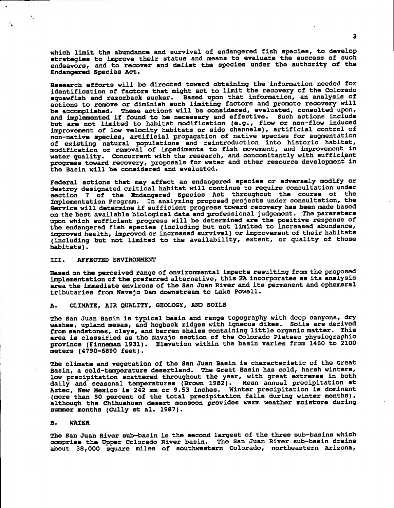which limit the abundance and survival of endangered fish species, to develop strategies to improve their status and means to evaluate the success of such endeavors, and to recover and delist the species under the authority of the Endangered Species Act.

Research efforts will be directed toward obtaining the information needed for identification of factors that might act to limit the recovery of the Colorado squawfish and razorback sucker. Based upon that information, an analysis of actions to remove or diminish such limiting factors and promote recovery will be accomplished. These actions will be considered, evaluated, consulted upon, and implemented if found to be necessary and effective. Such actions include but are not limited to habitat modification (e.g., flow or non-flow induced improvement of low velocity habitats or side channels), artificial control of non-native species, artificial propagation of native species for augmentation of existing natural populations and reintroduction into historic habitat, modification or removal of impediments to fish movement, and improvement in water quality. Concurrent with the research, and concomitantly with sufficient progress toward recovery, proposals for water and other resource development in the Basin will be considered and evaluated.

Federal actions that may affect an endangered species or adversely modify or destroy designated critical habitat will continue to require consultation under section 7 of the Endangered Species Act throughout the course of the Implementation Program. In analyzing proposed projects under consultation, the Service will determine if sufficient progress toward recovery has been made based on the best available biological data and professional judgement. The parameters upon which sufficient progress will be determined are the positive response of the endangered fish species (including but not limited to increased abundance, improved health, improved or increased survival) or improvement of their habitats (including but not limited to the availability, extent, or quality of those habitats).

#### III. AFFECTED ENVIRONMENT

Based on the perceived range of environmental impacts resulting from the proposed implementation of the preferred alternative, this EA incorporates as its analysis area the immediate environs of the San Juan River and its permanent and ephemeral tributaries from Navajo Dam downstream to Lake Powell.

### CLIMATE, AIR QUALITY, GEOLOGY, AND SOILS A.

The San Juan Basin is typical basin and range topography with deep canyons, dry washes, upland mesas, and hogback ridges with igneous dikes. Soils are derived from sandstones, clays, and barren shales containing little organic matter. This area is classified as the Navajo section of the Colorado Plateau physiographic province (Finneman 1931). Elevation within the basin varies from 1460 to 2100 meters (4790-6890 feet).

The climate and vegetation of the San Juan Basin is characteristic of the Great Basin, a cold-temperature desertland. The Great Basin has cold, harsh winters, low precipitation scattered throughout the year, with great extremes in both daily and seasonal temperatures (Brown 1982). Mean annual precipitation at<br>Aztec, New Mexico is 242 mm or 9.53 inches. Winter precipitation is dominant<br>(more than 50 percent of the total precipitation falls during winter m summer months (Cully et al. 1987).

### **WATER B.**

×.,  $\ddot{\phantom{a}}_i$ 

> The San Juan River sub-basin is the second largest of the three sub-basins which comprise the Upper Colorado River basin. The San Juan River sub-basin drains about 38,000 square miles of southwestern Colorado, northeastern Arizona,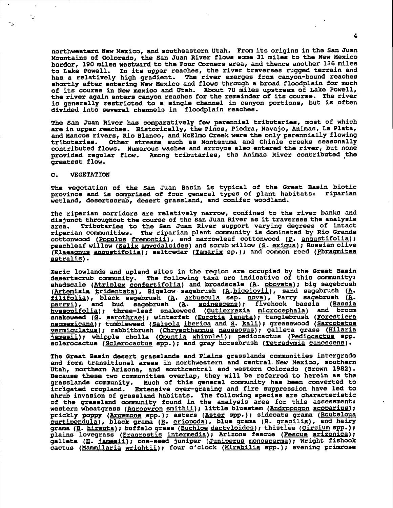northwestern New Mexico, and southeastern Utah. From its origins in the San Juan Mountains of Colorado, the San Juan River flows some 31 miles to the New Mexico border, 190 miles westward to the Four Corners area, and thence another 136 miles to Lake Powell. In its upper reaches, the river traverses rugged terrain and has a relatively high gradient. The river emerges from canyon-bound reaches shortly after entering New Mexico and flows through a broad floodplain for much of its course in New mexico and Utah. About 70 miles upstream of Lake Powell, the river again enters canyon reaches for the remainder of its course. The river is generally restricted to a single channel in canyon portions, but is often divided into several channels in floodplain reaches.

The San Juan River has comparatively few perennial tributaries, most of which are in upper reaches. Historically, the Pinos, Piedra, Navajo, Animas, La Plata, and Mancos rivers, Rio Blanco, and McElmo Creek were the only perennially flowing tributaries. Other streams such as Montezuma and Chinle creeks seasonally contributed flows. Numerous washes and arroyos also entered the river, but none provided regular flow. Among tributaries, the Animas River contributed the greatest flow.

# C. VEGETATION

V

The vegetation of the San Juan Basin is typical of the Great Basin biotic province and is comprised of four general types of plant habitats: riparian wetland, desertscrub, desert grassland, and conifer woodland.

The riparian corridors are relatively narrow, confined to the river banks and disjunct throughout the course of the San Juan River as it traverses the analysis area. Tributaries to the San Juan River support varying degrees of intact riparian communities. The riparian plant community is dominated by Rio Grande cottonwood (Populus fremontii), and narrowleaf cottonwood (P. angustifolia) ; peachleaf willow (Salix amygdaloides) and scrub willow (S. exiqua); Russian olive (Elaeagnus angustifolia); saltcedar (Tamarix sp.); and common reed (Phragmites astralis).

Xeric lowlands and upland sites in the region are occupied by the Great Basin desertscrub community. The following taxa are indicative of this community shadscale (Atriplex confertifolia) and broadscale (A. obovata); big sagebrush (Artemisia tridentata), Bigelow sagebrush (A.bigelovii), sand sagebrush (A. filifolia), black sagebrush (A. arbuscula ssp. nova), Parry sagebrush (A. parryi), and bud sagebrush (A. spinescens); flvehook bassla (Bassia hyssopifolia); three-leaf snakeweed (Gutierrezia microcephala) and broom snakeweed (G. sarothrae) ; winterfat (Eurotia lanata) ; tanglebrush (Forestiera neomexicana); tumbleweed (Salsola iberica and S. kali); greasewood (Sarcobatus vermiculatus); rabbitbrush (Chrysothamnus nauseosus); galleta grass (Hilaria jamesii); whipple cholla (Opuntia whipplei); pediocactus (Pediocactus spp. sclerocactus (Sclerocactus spp.); and gray horsebrush (Tetradymia canescens).

The Great Basin desert grasslands and Plains grasslands communities intergrade and form transitional areas in northwestern and central New Mexico, southern Utah, northern Arizona, and southcentral and western Colorado (Brown 1982). Because these two communities overlap, they will be referred to herein as the grasslands community. Much of this general community has been converted to irrigated cropland. Extensive over-grazing and fire suppression have led to shrub invasion of grassland habitats. The following species are characteris of the grassland community found in the analysis area for this assessment: western wheatgrass (Agropyron smithii); little bluestem (Andropogon scoparius); prickly poppy (Argemone spp.); asters (Aster spp.); sideoats grama (Bouteloua curtipendula), black grama (B. eriopoda), blue grama (B. gracilis), and hairy grama (B. hirsuta); buffalo grass (Buchloe dactyloides); thistles (Cirsium spp.); plains lovegrass (Eragrostis intermedia); Arizona fescue (Fescue arizonica); galleta (H. jamesii); one-seed juniper (Juniperus monosperma); Wright fishook cactus (Mammilaria wrightii); four o'clock (Mirabilis spp.); evening primrose  $\hat{\mathcal{A}}$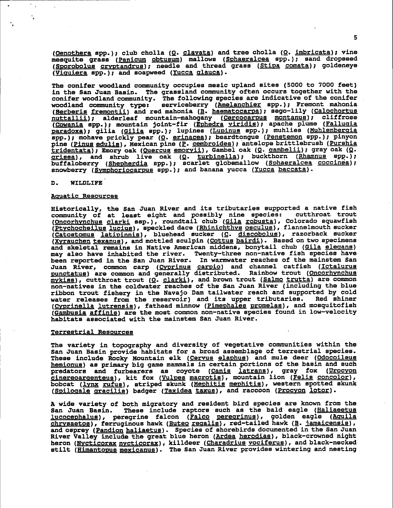(Oenothera spp.); club cholla (O. clavata) and tree cholla (O. imbricata); vine mesquite grass (Panicum obtusum) mallows (Sphaeralcea spp.); sand dropseed (Sporobolus cryptandrus); needle and thread grass (Stipa comata); goldeneye (Viquiera spp.); and soapweed (Yucca glauca).

The conifer woodland community occupies mesic upland sites (5000 to 7000 feet) in the San Juan Basin. The grassland community often occurs together with the conifer woodland community. The following species are indicative of the conifer<br>woodland community type: serviceberry (Amelanchier spp.); Fremont mahonia<br>(Berberis fremontii) and red mahonia (B. haematocarpa); sego-lily (C nuttallii); alderleaf mountain-mahogany (Cercocarpus montanus); cliffrose (Cowania spp.); mountain joint-fir (Ephedra viridia); apache plume (Fallugia paradoxa); gilia (Gilia spp.); lupines (Lupinus spp.); muhlies (Muhlenbergia spp.); mohave prickly pear (O. erinacea); beardtongue (Penstemon spp.); pinyon pine (Pinus edulis), Mexican pine (P. cembroides); antelope brittlebrush (Purshia tridentata); Emory oak (Quercus emoryii), Gambel oak (Q. gambelii); gray oak (Q. grisea), and shrub live oak (Q. turbinella); buckthorn (Rhamnus spp.); buffaloberry (Shepherdia spp.); scarlet globemallow (Sphaeralcea coccinea); snowberry (Symphoriocarpus spp.); and banana yucca (Yucca baccata).

### **WILDLIFE** D.

### Aquatic Resources

Historically, the San Juan River and its tributaries supported a native fish community of at least eight and possibly nine species: cutthroat trout (Oncorhynchus clarki ssp.), roundtail chub (Gila robusta), Colorado squawfish (Ptychocheilus lucius), speckled dace (Rhinichthys osculus), flannelmouth sucker (Catostomus latipinnis), bluehead sucker (C. discobolus), razorback sucker (Xyrauchen texanus), and mottled sculpin (Cottus bairdi). Based on two specimens and skeletal remains in Native American middens, bonytail chub (Gila elegans) may also have inhabited the river. Twenty-three non-native fish species have<br>been reported in the San Juan River. In warmwater reaches of the mainstem San Juan River, common carp (Cyprinus carpic) and channel catfish (Ictalurus<br>punctatus) are common and generally distributed. Rainbow trout (Oncorhynchus mykiss), cutthroat trout (Q. clarki), and brown trout (Salmo trutta) are common non-natives in the coldwater reaches of the San Juan River (including the blue ribbon trout fishery in the Navajo Dam tailwater reach and supported by cold water releases from the reservoir) and its upper tributaries. Red shiner (Cyprinella lutrensis), fathead minnow (Pimephales promelas), and mosquitofish (Gambusia affinis) are the most common non-native species found in low-velocity habitats associated with the mainstem San Juan River.

# Terrestrial Resources

The variety in topography and diversity of vegetative communities within the San Juan Basin provide habitats for a broad assemblage of terrestrial species. These include Rocky Mountain elk (Cervus elaphus) and mule deer (Odocoileus hemionus) as primary big game mammals in certain portions of the basin and such predators and furbearers as coyote (Canis latrans), gray fox (Urocyon cinereoargenteus), kit fox (Vulpes macrotis), mountain lion (Felis concolor), bobcat (lynx rufus), striped skunk (Mephitis mephitis), western spotted skunk (Spilogale gracilis) badger (Taxidea taxus), and raccoon (Procyon lotor).

A wide variety of both migratory and resident bird species are known from the These include raptors such as the bald eagle (Haliaeetus San Juan Basin. lucocephalus), peregrine falcon (Falco peregrinus), golden eagle (Aquila chrysaetos), ferruginous hawk (Buteo regalis), red-tailed hawk (B. jamaicensis), and osprey (Pandion haliaetus). Species of shorebirds documented in the San Juan River Valley include the great blue heron (Ardea herodias), black-crowned night heron (Nycticorax nycticorax), killdeer (Charadrius vociferus), and black-necked stilt (Himantopus mexicanus). The San Juan River provides wintering and nesting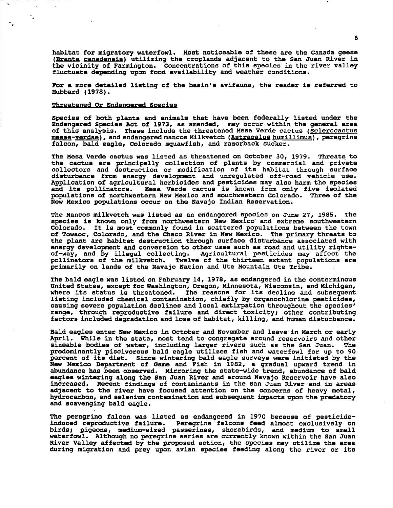habitat for migratory waterfowl. Most noticeable of these are the Canada geese (Branta canadensis) utilizing the croplands adjacent to the San Juan River in the vicinity of Farmington. Concentrations of this species in the river valley fluctuate depending upon food availability and weather conditions.

For a more detailed listing of the basin's avifauna, the reader is referred to Hubbard (1978).

# Threatened Or Endangered Species

Species of both plants and animals that have been federally listed under the Endangered Species Act of 1973, as amended, may occur within the general area of this analysis. These include the threatened Mesa Verde cactus (Sclerocactus mesae-yerdae), and endangered mancos Milkvetch (Astragalus humillimus), peregrine falcon, bald eagle, Colorado squawfish, and razorback sucker.

The Mesa Verde cactus was listed as threatened on October 30, 1979. Threats to the cactus are principally collection of plants by commercial and private collectors and destruction or modification of its habitat through surface<br>disturbance from energy development and unregulated off-road vehicle use.<br>Application of agricultural herbicides and pesticides may also harm the sp and its pollinators. Mesa Verde cactus is known from only five isolated populations of northwestern New Mexico and southwestern Colorado. Three of the New Mexico populations occur on the Navajo Indian Reservation.

The Mancos milkvetch was listed as an endangered species on June 27, 1985. The species is known only from northwestern New Mexico and extreme southwestern Colorado. It is most commonly found in scattered populations between the town of Towaoc, Colorado, and the Chaco River in New Mexico. The primary threats to the plant are habitat destruction through surface disturbance associated with energy development and conversion to other uses such as road and utility rightsof-way, and by illegal collecting. Agricultural pesticides may affect the pollinators of the milkvetch. Twelve of the thirteen extant populations are primarily on lands of the Navajo Nation and Ute Mountain Ute Tribe.

The bald eagle was listed on February 14, 1978, as endangered in the conterminous United States, except for Washington, Oregon, Minnesota, Wisconsin, and Michigan, where its status is threatened. The reasons for its decline and subsequent listing included chemical contamination, chiefly by organochlorine pesticides, causing severe population declines and local extirpation throughout the species' range, through reproductive failure and direct toxicity; other contributing factors included degradation and loss of habitat, killing, and human disturbance.

Bald eagles enter New Mexico in October and November and leave in March or early April. While in the state, most tend to congregate around reservoirs and other sizeable bodies of water, including larger rivers such as the San Juan. The predominantly piscivorous bald eagle utilizes fish and waterfowl for up to 90 percent of its diet. Since wintering bald eagle surveys were initiated by the New Mexico Department of Game and Fish in 1982, a gradual upward trend in abundance has been observed. Mirroring the state-wide trend, abundance of bald eagles wintering along the San Juan River and around Navajo Reservoir have also increased. Recent findings of contaminants in the San Juan River and in areas adjacent to the river have focused attention on the concerns of heavy metal, hydrocarbon, and selenium contamination and subsequent impacts upon the predatory and scavenging bald eagle.

The peregrine falcon was listed as endangered in 1970 because of pesticideinduced reproductive failure. Peregrine falcons feed almost exclusively on<br>birds; pigeons, medium-sized passerines, shorebirds, and medium to small waterfowl. Although no peregrine aeries are currently known within the San Juan River Valley affected by the proposed action, the species may utilize the area during migration and prey upon avian species feeding along the river or its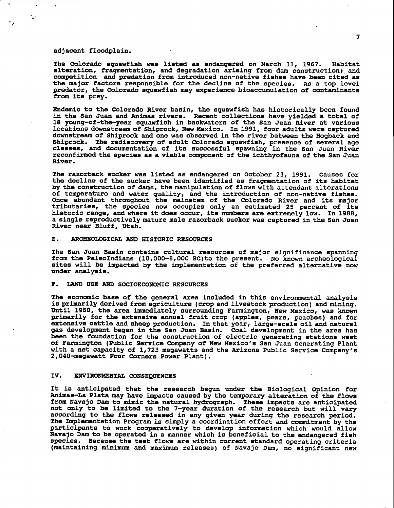### adjacent floodplain.

The Colorado squawfish was listed as endangered on March 11, 1967. Habitat alteration, fragmentation, and degradation arising from dam construction; and competition and predation from introduced non-native fishes have been cited as the major factors responsible for the decline of the species. As a top level predator, the Colorado squawfish may experience bioaccumulation of contaminants from its prey.

Endemic to the Colorado River basin, the squawfish has historically been found in the San Juan and Animas rivers. Recent collections have yielded a total of 18 young-of-the-year squawfish in backwaters of the San Juan River at various<br>locations downstream of Shiprock, New Mexico. In 1991, four adults were captured downstream of Shiprock and one was observed in the river between the Hogback and Shiprock. The rediscovery of adult Colorado squawfish, presence of several age classes, and documentation of its successful spawning in the San Juan River reconfirmed the species as a viable component of the ichthyofauna of the San Juan River.

The razorback sucker was listed as endangered on October 23, 1991. Causes for the decline of the sucker have been identified as fragmentation of its habitat by the construction of dams, the manipulation of flows with attendant alterations of temperature and water quality, and the introduction of non-native fishes.<br>Once abundant throughout the mainstem of the Colorado River and its major tributaries, the species now occupies only an estimated 25 percent of its<br>historic range, and where it does occur, its numbers are extremely low. In 1988, a single reproductively mature male razorback sucker was captured in the San Juan River near Bluff, Utah.

### ARCHEOLOGICAL AND HISTORIC RESOURCES **.**

The San Juan Basin contains cultural resources of major significance spanning from the PaleoIndians (10,000-5,000 BC) to the present. No known archeological sites will be impacted by the implementation of the preferred alternative now under analysis.

### $\mathbf{F}$ . LAND USE AND SOCIOECONOMIC RESOURCES

The economic base of the general area included in this environmental analysis is primarily derived from agriculture (crop and livestock production) and mining. Until 1950, the area immediately surrounding Farmington, New Mexico, was known primarily for the extensive annual fruit crop (apples, pears, peaches) and for extensive cattle and sheep production. In that year, large-scale oil and natural gas development began in the San Juan Basin. Coal development in the area has been the foundation for the construction of electric generating stations west of Farmington (Public Service Company of New Mexico's San Juan Generating Plant with a net capacity of 1,723 megawatts and the Arizona Public Service Company's 2,040-megawatt Four Corners Power Plant).

### IV. ENVIRONMENTAL CONSEQUENCES

It is anticipated that the research begun under the Biological Opinion for Animas-La Plata may have impacts caused by the temporary alteration of the flows from Navajo Dam to mimic the natural hydrograph. These impacts are anticipated not only to be limited to the 7-year duration of the research but will vary according to the flows released in any given year during the research period. The Implementation Program is simply a coordination effort and commitment by the participants to work cooperatively to develop information which would allow Navajo Dam to be operated in a manner which is beneficial to the endangered fish species. Because the test flows are within current standard operating criteria (maintaining minimum and maximum releases) of Navajo Dam, no significant new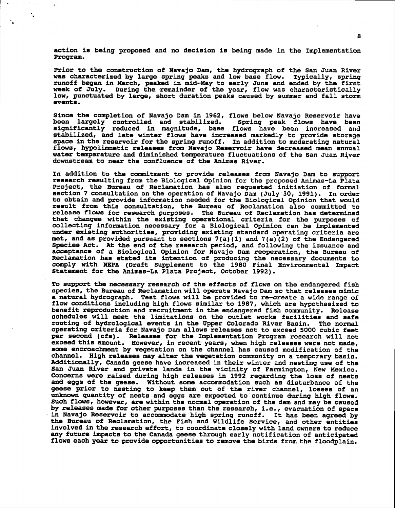action is being proposed and no decision is being made in the Implementation Program.

Prior to the construction of Navajo Dam, the hydrograph of the San Juan River was characterized by large spring peaks and low base flow. Typically, spring runoff began in March, peaked in mid-May to early June and ended by the first week of July. During the remainder of the year, flow was characteristically low, punctuated by large, short duration peaks caused by summer and fall storm events.

Since the completion of Navajo Dam in 1962, flows below Navajo Reservoir have been largely controlled and stabilized. Spring peak flows have been significantly reduced in magnitude, base flows have been increased and stabilized, and late winter flows have increased markedly to provide storage space in the reservoir for the spring runoff. In addition to moderating natural flows, hypolimnetic releases from Navajo Reservoir have decreased mean annual water temperature and diminished temperature fluctuations of the San Juan River downstream to near the confluence of the Animas River.

In addition to the commitment to provide releases from Navajo Dam to support research resulting from the Biological Opinion for the proposed Animas-La Plata Project, the Bureau of Reclamation has also requested initiation of formal section 7 consultation on the operation of Navajo Dam (July 30, 1991). In order to obtain and provide information needed for the Biological Opinion that would result from this consultation, the Bureau of Reclamation also committed to release flows for research purposes. The Bureau of Reclamation has determined that changes within the existing operational criteria for the purposes of collecting information necessary for a Biological Opinion can be implemented under existing authorities, providing existing standard operating criteria are met, and as provided pursuant to sections 7(a)(1) and 7(a)(2) of the Endangered Species Act. At the end of the research period, and following the issuance and acceptance of a Biological Opinion for Navajo Dam reoperation, the Bureau of Reclamation has stated its intention of producing the necessary documents to comply with NEPA (Draft Supplement to the 1980 Final Environmental Impact Statement for the Animas-La Plata Project, October 1992).

To support the necessary research of the effects of flows on the endangered fish species, the Bureau of Reclamation will operate Navajo Dam so that releases mimic a natural hydrograph. Test flows will be provided to re-create a wide range of flow conditions including high flows similar to 1987, which are hypothesized to benefit reproduction and recruitment in the endangered fish community. Release schedules will meet the limitations on the outlet works facilities and safe routing of hydrological events in the Upper Colorado River Basin. The normal operating criteria for Navajo Dam allows releases not to exceed 5000 cubic feet per second (cfs). Releases for the Implementation Program research will not exceed this amount. However, in recent years, when high releases were not made, some encroachment by vegetation on the channel has caused modification of the channel. High releases may alter the vegetation community on a temporary basis. Additionally, Canada geese have increased in their winter and nesting use of the San Juan River and private lands in the vicinity of Farmington, New Mexico.<br>Concerns were raised during high releases in 1992 regarding the loss of nests and eggs of the geese. Without some accommodation such as disturbance of the geese prior to nesting to keep them out of the river channel, losses of an unknown quantity of nests and eggs are expected to continue during high flows. Such flows, however, are within the normal operation of the dam and may be caused by releases made for other purposes than the research, i.e., evacuation of space in Navajo Reservoir to accommodate high spring runoff. It has been agreed by the Bureau of Reclamation, the Fish and Wildlife Service, and other entities involved in the research effort, to coordinate closely with land owners to reduce any future impacts to the Canada geese through early notification of anticipated flows each year to provide opportunities to remove the birds from the floodplain.

8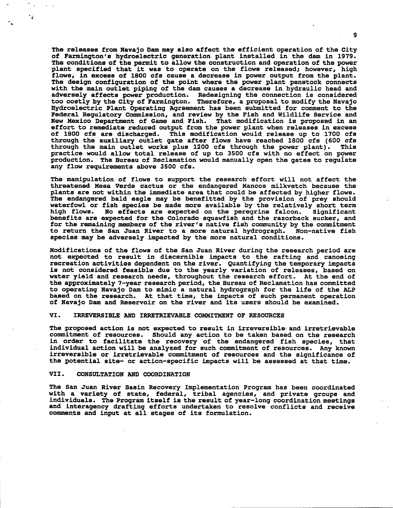The releases from Navajo Dam may also affect the efficient operation of the City of Farmington's hydroelectric generation plant installed in the dam in 1979.<br>The conditions of the permit to allow the construction and operation of the power plant specified that it was to operate on the flows released; however, high flows, in excess of 1800 cfs cause a decrease in power output from the plant. The design configuration of the point where the power plant penstock connects with the main outlet piping of the dam causes a decrease in hydraulic head and adversely affects power production. Redesigning the connection is considere too costly by the City of Farmington. Therefore, a proposal to modify the Navajo Eydroelectrlc Plant Operatlng Agreement has been submitted for conment to the Federal Regulatory Commission, and review by the Fish and Wildlife Service and New Mexico Department of Game and Fish. That modification is proposed in an effort to remediate reduced output from the power plant when releases in excees of 1800 cfs are discharged. This modification would release up to 1700 cfs through the auxiliary outlet gate after flows have reached 1800 cfs (600 cfs through the main outlet works plus 1200 cfs through the power plant). This practice would allow total release of up to 3500 cfs with no effect on power production. The Bureau of Reclamation would manually open the gates to regulate any flow requirements above 3500 cfs.

The manipulation of flows to support the research effort will not affect the threatened Mesa Verde cactus or the endangered Mancos mllkvetch because the plants are not within the immediate area that could be affected by higher flows. The endangered bald eagle may be benefitted by the provision of prey should waterfowl or fish species be made more available by the relatively short term<br>high flows. No effects are expected on the peregrine falcon. Significant No effects are expected on the peregrine falcon. benefits are expected for the Colorado squawfish and the razorback sucker, and for the remaining members of the river's native fish community by the commitment to return the San Juan River to a more natural hydrograph. Non-native fish species may be adversely impacted by the more natural conditions.

Modifications of the flows of the San Juan River during the research period are not expected to result in discernible impacts to the rafting and canoeing recreation activities dependent on the river. Quantifying the temporary impacts is not considered feasible due to the yearly variation of releases, based on water yield and research needs, throughout the research effort. At the end of the approximately 7-year research period, the Bureau of Reclamation has committed to operating Navajo Dam to mimic a natural hydrograph for the life of the ALP based on the research. At that time, the impacts of such permanent operation of Navajo Dam and Reservoir on the river and its users should be examined.

# VI. IRREVERSIIBLE AND IRRETRIEVABLE COUMTTMENT OF RESOURCES

The proposed action is not expected to result in irreversible and irretrievable commitment of resources. Should any action to be taken based on the research in order to facilitate the recovery of the endangered fish species, that individual action will be analyzed for such commitment of resources. Any known irreversible or irretrievable commitment of resources and the significance of the potential site- or action-specific impacts will be assessed at that time.

# VII. CONSULTATION AND COORDINATION

.<br>تو

The San Juan River Basin Recovery Implementation Program has been coordinated with a variety of state, federal, tribal agencies, and private groups and individuals. The Program itself is the result of year-long coordination meetings and interagency drafting efforts undertaken to resolve conflicts and receive comments and input at all stages of its formulation.

 $\bullet$